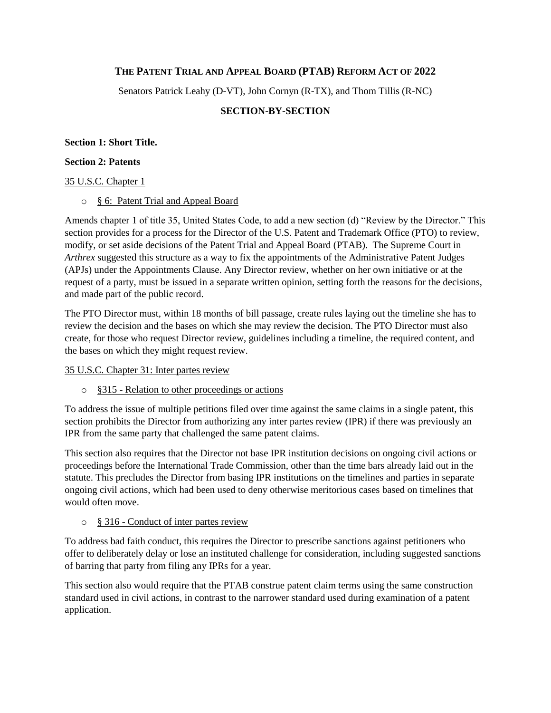## **THE PATENT TRIAL AND APPEAL BOARD (PTAB) REFORM ACT OF 2022**

Senators Patrick Leahy (D-VT), John Cornyn (R-TX), and Thom Tillis (R-NC)

### **SECTION-BY-SECTION**

#### **Section 1: Short Title.**

#### **Section 2: Patents**

### 35 U.S.C. Chapter 1

### o § 6: Patent Trial and Appeal Board

Amends chapter 1 of title 35, United States Code, to add a new section (d) "Review by the Director." This section provides for a process for the Director of the U.S. Patent and Trademark Office (PTO) to review, modify, or set aside decisions of the Patent Trial and Appeal Board (PTAB). The Supreme Court in *Arthrex* suggested this structure as a way to fix the appointments of the Administrative Patent Judges (APJs) under the Appointments Clause. Any Director review, whether on her own initiative or at the request of a party, must be issued in a separate written opinion, setting forth the reasons for the decisions, and made part of the public record.

The PTO Director must, within 18 months of bill passage, create rules laying out the timeline she has to review the decision and the bases on which she may review the decision. The PTO Director must also create, for those who request Director review, guidelines including a timeline, the required content, and the bases on which they might request review.

### 35 U.S.C. Chapter 31: Inter partes review

o §315 - Relation to other proceedings or actions

To address the issue of multiple petitions filed over time against the same claims in a single patent, this section prohibits the Director from authorizing any inter partes review (IPR) if there was previously an IPR from the same party that challenged the same patent claims.

This section also requires that the Director not base IPR institution decisions on ongoing civil actions or proceedings before the International Trade Commission, other than the time bars already laid out in the statute. This precludes the Director from basing IPR institutions on the timelines and parties in separate ongoing civil actions, which had been used to deny otherwise meritorious cases based on timelines that would often move.

### o § 316 - Conduct of inter partes review

To address bad faith conduct, this requires the Director to prescribe sanctions against petitioners who offer to deliberately delay or lose an instituted challenge for consideration, including suggested sanctions of barring that party from filing any IPRs for a year.

This section also would require that the PTAB construe patent claim terms using the same construction standard used in civil actions, in contrast to the narrower standard used during examination of a patent application.